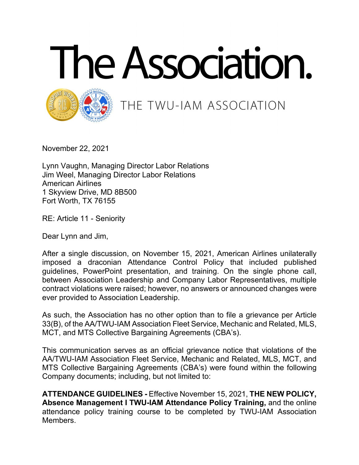



## THE TWU-IAM ASSOCIATION

November 22, 2021

Lynn Vaughn, Managing Director Labor Relations Jim Weel, Managing Director Labor Relations American Airlines 1 Skyview Drive, MD 8B500 Fort Worth, TX 76155

RE: Article 11 - Seniority

Dear Lynn and Jim,

After a single discussion, on November 15, 2021, American Airlines unilaterally imposed a draconian Attendance Control Policy that included published guidelines, PowerPoint presentation, and training. On the single phone call, between Association Leadership and Company Labor Representatives, multiple contract violations were raised; however, no answers or announced changes were ever provided to Association Leadership.

As such, the Association has no other option than to file a grievance per Article 33(B), of the AA/TWU-IAM Association Fleet Service, Mechanic and Related, MLS, MCT, and MTS Collective Bargaining Agreements (CBA's).

This communication serves as an official grievance notice that violations of the AA/TWU-IAM Association Fleet Service, Mechanic and Related, MLS, MCT, and MTS Collective Bargaining Agreements (CBA's) were found within the following Company documents; including, but not limited to:

**ATTENDANCE GUIDELINES -** Effective November 15, 2021, **THE NEW POLICY, Absence Management I TWU-IAM Attendance Policy Training,** and the online attendance policy training course to be completed by TWU-IAM Association Members.